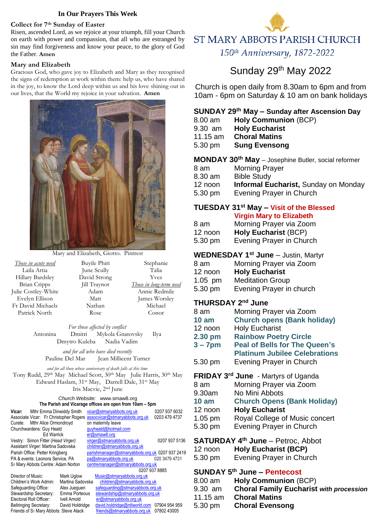#### **In Our Prayers This Week**

#### **Collect for 7th Sunday of Easter**

Risen, ascended Lord, as we rejoice at your triumph, fill your Church on earth with power and compassion, that all who are estranged by sin may find forgiveness and know your peace, to the glory of God the Father. **Amen** 

#### **Mary and Elizabeth**

Gracious God, who gave joy to Elizabeth and Mary as they recognised the signs of redemption at work within them: help us, who have shared in the joy, to know the Lord deep within us and his love shining out in our lives, that the World my rejoice in your salvation. **Amen**



Mary and Elizabeth, Giotto. Pintrest

*Those in acute need* Laila Attia Hillary Bardsley Brian Cripps Julie Costley-White Evelyn Ellison Fr David Michaels Patrick North Buyile Phiri June Scully David Strong Jill Traynor Adam Matt Nathan Rose Stephanie Talia Yves *Those in long-term need* Annie Redmile James Worsley Michael Conor

> *For those affected by conflict* Antonina Dmitri Mykola Gnatovsky Ilya Dmytro Kuleba Nadia Vadim

*and for all who have died recently* Pauline Del Mar Jean Millicent Turner

*and for all those whose anniversary of death falls at this time* Tony Rudd, 29th May Michael Scott, 30th May Julie Harris, 30th May Edward Haslam, 31st May, Darrell Dale, 31st May Iris Macvie, 2nd June

#### *Church Website:* www.smaw8.org **The Parish and Vicarage offices are open from 10am – 5pm**

| Mthr Emma Dinwiddy Smith<br>Vicar:                                      |                  |  | vicar@stmaryabbots.org.uk                       | 0207 937 6032 |
|-------------------------------------------------------------------------|------------------|--|-------------------------------------------------|---------------|
| Associate Vicar: Fr Christopher Rogers                                  |                  |  | assocvicar@stmaryabbots.org.uk                  | 0203 479 4737 |
| Mthr Alice Ormondroyd<br>Curate:                                        |                  |  | on maternity leave                              |               |
| Churchwardens: Guy Heald                                                |                  |  | quyheald@hotmail.com                            |               |
| Ed Warrick                                                              |                  |  | er@smaw8.org                                    |               |
| Vestry: Simon Fitter (Head Virger)                                      |                  |  | virger@stmaryabbots.org.uk                      | 0207 937 5136 |
| Assistant Virger: Martina Sadovska                                      |                  |  | children@stmaryabbots.org.uk                    |               |
| Parish Office: Petter Kringberg                                         |                  |  | parishmanager@stmaryabbots.org.uk 0207 937 2419 |               |
| PA & events: Leonora Service, PA                                        |                  |  | pa@stmaryabbots.org.uk                          | 020 3479 4731 |
| ST Mary Abbots Centre: Adam Norton<br>centremanager@stmaryabbots.org.uk |                  |  |                                                 |               |
|                                                                         |                  |  |                                                 | 0207 937 8885 |
| Director of Music:                                                      | Mark Uglow       |  | Music@stmaryabbots.org.uk                       |               |
| Children's Work Admin:                                                  | Martina Sadovska |  | children@stmaryabbots.org.uk                    |               |
| Safeguarding Office:                                                    | Alex Juequen     |  | safequarding@stmaryabbots.org.uk                |               |
| Stewardship Secretary:                                                  | Emma Porteous    |  | stewardship@stmaryabbots.org.uk                 |               |
| Electoral Roll Officer:                                                 | Ivell Arnold     |  | er@stmaryabbots.org.uk                          |               |
| <b>Bellringing Secretary:</b>                                           | David Holdridge  |  | david.holdridge@ntlworld.com                    | 07904 954 959 |
| Friends of S <sub>T</sub> Mary Abbots: Steve Atack                      |                  |  | friends@stmaryabbots.org.uk                     | 07802 43005   |



# **ST MARY ABBOTS PARISH CHURCH**

150th Anniversary, 1872-2022

# Sunday 29<sup>th</sup> May 2022

Church is open daily from 8.30am to 6pm and from 10am - 6pm on Saturday & 10 am on bank holidays

# **SUNDAY 29 th May – Sunday after Ascension Day**

- 8.00 am **Holy Communion** (BCP)
- 9.30 am **Holy Eucharist**  11.15 am **Choral Matins** 5.30 pm **Sung Evensong**

**MONDAY 30th May** – Josephine Butler, social reformer 8 am Morning Prayer 8.30 am Bible Study 12 noon **Informal Eucharist,** Sunday on Monday 5.30 pm Evening Prayer in Church

# **TUESDAY 31st May – Visit of the Blessed**

|         | <b>Virgin Mary to Elizabeth</b> |
|---------|---------------------------------|
| 8 am    | Morning Prayer via Zoom         |
| 12 noon | <b>Holy Eucharist (BCP)</b>     |
| 5.30 pm | Evening Prayer in Church        |

# **WEDNESDAY 1 st June** – Justin, Martyr

| 8 am      | Morning Prayer via Zoom |
|-----------|-------------------------|
| 12 noon   | <b>Holy Eucharist</b>   |
| $1.05$ pm | <b>Meditation Group</b> |

5.30 pm Evening Prayer in church

# **THURSDAY 2 nd June**

| 8 am             | Morning Prayer via Zoom                                                                                                                                                                                                                                                     |
|------------------|-----------------------------------------------------------------------------------------------------------------------------------------------------------------------------------------------------------------------------------------------------------------------------|
| 10 <sub>am</sub> | <b>Church opens (Bank holiday)</b>                                                                                                                                                                                                                                          |
| 12 noon          | <b>Holy Eucharist</b>                                                                                                                                                                                                                                                       |
| 2.30 pm          | <b>Rainbow Poetry Circle</b>                                                                                                                                                                                                                                                |
| $3 - 7$ pm       | <b>Peal of Bells for The Queen's</b>                                                                                                                                                                                                                                        |
|                  | <b>Platinum Jubilee Celebrations</b>                                                                                                                                                                                                                                        |
| 5.30 pm          | Evening Prayer in Church                                                                                                                                                                                                                                                    |
|                  | FRIDAY 3rd June - Martyrs of Uganda<br>$\blacksquare$ . The contract of the contract of the contract of the contract of the contract of the contract of the contract of the contract of the contract of the contract of the contract of the contract of the contract of the |

- 8 am Morning Prayer via Zoom<br>9.30am No Mini Abbots
- No Mini Abbots
- **10 am Church Opens (Bank Holiday)**
- 12 noon **Holy Eucharist**
- 1.05 pm Royal College of Music concert
- 5.30 pm Evening Prayer in Church
- **SATURDAY 4 th June** Petroc, Abbot

| 12 noon | <b>Holy Eucharist (BCP)</b> |  |
|---------|-----------------------------|--|
|---------|-----------------------------|--|

5.30 pm Evening Prayer in Church

# **SUNDAY 5 th June – Pentecost**

| 8.00 am<br>9.30 am | <b>Holy Communion (BCP)</b><br><b>Choral Family Eucharist with procession</b> |
|--------------------|-------------------------------------------------------------------------------|
| 11.15 am           | <b>Choral Matins</b>                                                          |
| 5.30 pm            | <b>Choral Evensong</b>                                                        |